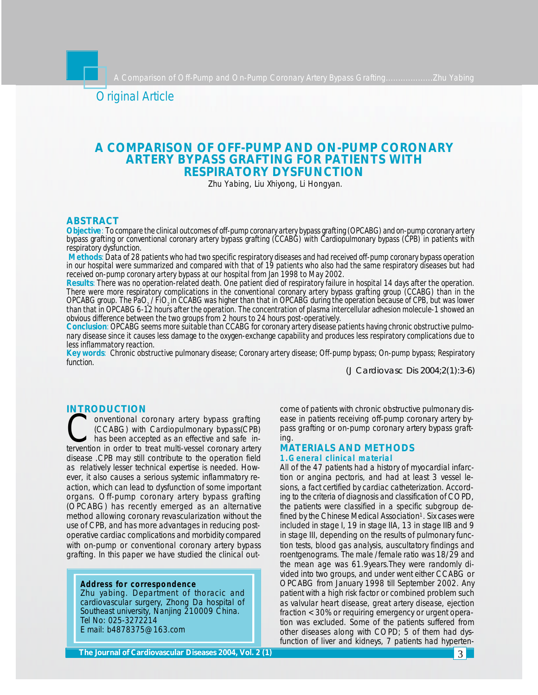Original Article

# **A COMPARISON OF OFF-PUMP AND ON-PUMP CORONARY ARTERY BYPASS GRAFTING FOR PATIENTS WITH RESPIRATORY DYSFUNCTION**

Zhu Yabing, Liu Xhiyong, Li Hongyan.

## **ABSTRACT**

*Objective: To compare the clinical outcomes of off-pump coronary artery bypass grafting (OPCABG) and on-pump coronary artery bypass grafting or conventional coronary artery bypass grafting (CCABG) with Cardiopulmonary bypass (CPB) in patients with respiratory dysfunction.*

*Methods*: *Data of 28 patients who had two specific respiratory diseases and had received off-pump coronary bypass operation in our hospital were summarized and compared with that of 19 patients who also had the same respiratory diseases but had received on-pump coronary artery bypass at our hospital from Jan 1998 to May 2002.*

*Results: There was no operation-related death. One patient died of respiratory failure in hospital 14 days after the operation. There were more respiratory complications in the conventional coronary artery bypass grafting group (CCABG) than in the OPCABG group. The PaO2 / FiO2 in CCABG was higher than that in OPCABG during the operation because of CPB, but was lower than that in OPCABG 6-12 hours after the operation. The concentration of plasma intercellular adhesion molecule-1 showed an obvious difference between the two groups from 2 hours to 24 hours post-operatively.*

*Conclusion: OPCABG seems more suitable than CCABG for coronary artery disease patients having chronic obstructive pulmonary disease since it causes less damage to the oxygen-exchange capability and produces less respiratory complications due to less inflammatory reaction.*

*Key words: Chronic obstructive pulmonary disease; Coronary artery disease; Off-pump bypass; On-pump bypass; Respiratory function.*

*(J Cardiovasc Dis 2004;2(1):3-6)*

## **INTRODUCTION**

CONTENT CONCOLLETING CONTENT CONTENT CONTENT CONTENT CONTENT CONTENT CONTENT (CCABG) with Cardiopulmonary bypass(CPB) has been accepted as an effective and safe intervention in order to treat multi-vessel coronary artery **Onventional coronary artery bypass grafting** (CCABG) with Cardiopulmonary bypass(CPB) has been accepted as an effective and safe indisease .CPB may still contribute to the operation field as relatively lesser technical expertise is needed. However, it also causes a serious systemic inflammatory reaction, which can lead to dysfunction of some important organs. Off-pump coronary artery bypass grafting (OPCABG) has recently emerged as an alternative method allowing coronary revascularization without the use of CPB, and has more advantages in reducing postoperative cardiac complications and morbidity compared with on-pump or conventional coronary artery bypass grafting. In this paper we have studied the clinical out-

## **Address for correspondence**

Zhu yabing. Department of thoracic and cardiovascular surgery, Zhong Da hospital of Southeast university, Nanjing 210009 China. Tel No: 025-3272214 E mail: b4878375@163.com

come of patients with chronic obstructive pulmonary disease in patients receiving off-pump coronary artery bypass grafting or on-pump coronary artery bypass grafting.

## **MATERIALS AND METHODS 1.General clinical material**

All of the 47 patients had a history of myocardial infarction or angina pectoris, and had at least 3 vessel lesions, a fact certified by cardiac catheterization. According to the criteria of diagnosis and classification of COPD, the patients were classified in a specific subgroup defined by the Chinese Medical Association<sup>1</sup>. Six cases were included in stage I, 19 in stage IIA, 13 in stage IIB and 9 in stage III, depending on the results of pulmonary function tests, blood gas analysis, auscultatory findings and roentgenograms. The male /female ratio was 18/29 and the mean age was 61.9years.They were randomly divided into two groups, and under went either CCABG or OPCABG from January 1998 till September 2002. Any patient with a high risk factor or combined problem such as valvular heart disease, great artery disease, ejection fraction <30% or requiring emergency or urgent operation was excluded. Some of the patients suffered from other diseases along with COPD; 5 of them had dysfunction of liver and kidneys, 7 patients had hyperten-

**The Journal of Cardiovascular Diseases 2004, Vol. 2 (1)**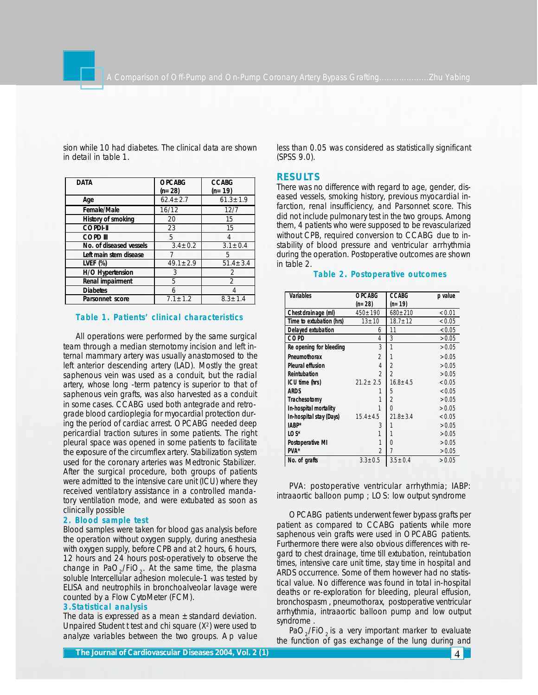|                         |                           |                          | <b>RESULTS</b>                                |
|-------------------------|---------------------------|--------------------------|-----------------------------------------------|
| <b>DATA</b>             | <b>OPCABG</b><br>$(n=28)$ | <b>CCABG</b><br>$(n=19)$ | There was no difference with r                |
| Age                     | $62.4 \pm 2.7$            | $61.3 \pm 1.9$           | eased vessels, smoking histor                 |
| Female/Male             | 16/12                     | 12/7                     | farction, renal insufficiency, a              |
| History of smoking      | 20                        | 15                       | did not include pulmonary test                |
| <b>COPDI-II</b>         | 23                        | 15                       | them, 4 patients who were sup                 |
| <b>COPD III</b>         | 5                         | $\overline{4}$           | without CPB, required conver                  |
| No. of diseased vessels | $3.4 \pm 0.2$             | $3.1 \pm 0.4$            | stability of blood pressure a                 |
| Left main stem disease  |                           | 5                        | during the operation. Postoper                |
| LVEF $(\%)$             | $49.1 \pm 2.9$            | $51.4 \pm 3.4$           | in table 2.                                   |
| H/O Hypertension        | 3                         | $\mathfrak{D}$           | Table 2. Postope                              |
| Renal impairment        | 5                         | $\overline{2}$           |                                               |
| <b>Diabetes</b>         | 6                         | 4                        |                                               |
| Parsonnet score         | $7.1 \pm 1.2$             | $8.3 \pm 1.4$            | <b>Variables</b><br><b>OPCABG</b><br>$(n=28)$ |

sion while 10 had diabetes. The clinical data are shown in detail in table 1.

### **Table 1. Patients' clinical characteristics**

All operations were performed by the same surgical team through a median sternotomy incision and left internal mammary artery was usually anastomosed to the left anterior descending artery (LAD). Mostly the great saphenous vein was used as a conduit, but the radial artery, whose long -term patency is superior to that of saphenous vein grafts, was also harvested as a conduit in some cases. CCABG used both antegrade and retrograde blood cardioplegia for myocardial protection during the period of cardiac arrest. OPCABG needed deep pericardial traction sutures in some patients. The right pleural space was opened in some patients to facilitate the exposure of the circumflex artery. Stabilization system used for the coronary arteries was Medtronic Stabilizer. After the surgical procedure, both groups of patients were admitted to the intensive care unit (ICU) where they received ventilatory assistance in a controlled mandatory ventilation mode, and were extubated as soon as clinically possible

#### **2. Blood sample test**

Blood samples were taken for blood gas analysis before the operation without oxygen supply, during anesthesia with oxygen supply, before CPB and at 2 hours, 6 hours, 12 hours and 24 hours post-operatively to observe the change in PaO<sub>2</sub>/FiO<sub>2</sub>. At the same time, the plasma soluble Intercellular adhesion molecule-1 was tested by ELISA and neutrophils in bronchoalveolar lavage were counted by a Flow CytoMeter (FCM).

#### **3.Statistical analysis**

The data is expressed as a mean  $\pm$ standard deviation. Unpaired Student t test and chi square (*X* 2 ) were used to analyze variables between the two groups. A *p* value less than 0.05 was considered as statistically significant (SPSS 9.0).

## **RESULTS**

There was no difference with regard to age, gender, diseased vessels, smoking history, previous myocardial infarction, renal insufficiency, and Parsonnet score. This did not include pulmonary test in the two groups. Among them, 4 patients who were supposed to be revascularized without CPB, required conversion to CCABG due to instability of blood pressure and ventricular arrhythmia during the operation. Postoperative outcomes are shown in table 2.

## **Table 2. Postoperative outcomes**

| <b>Variables</b>         | <b>OPCABG</b>  | <b>CCABG</b>   | p value |
|--------------------------|----------------|----------------|---------|
|                          | $(n=28)$       | $(n=19)$       |         |
| Chest drain age (ml)     | $450 \pm 190$  | $680 + 210$    | < 0.01  |
| Time to extubation (hrs) | $13 \pm 10$    | $18.7 \pm 12$  | < 0.05  |
| Delayed extubation       | 6              | 11             | < 0.05  |
| COPD                     | 4              | 3              | >0.05   |
| Re opening for bleeding  | 3              | 1              | >0.05   |
| Pneumothorax             | $\mathfrak{D}$ |                | >0.05   |
| <b>Pleural effusion</b>  | 4              | $\overline{2}$ | >0.05   |
| Reintubation             | $\mathfrak{D}$ | $\mathfrak{D}$ | >0.05   |
| ICU time (hrs)           | $21.2 + 2.5$   | $16.8 + 4.5$   | < 0.05  |
| <b>ARDS</b>              |                | 5              | < 0.05  |
| Trachesotomy             | 1              | $\overline{2}$ | >0.05   |
| In-hospital mortality    | 1              | $\Omega$       | >0.05   |
| In-hospital stay (Days)  | $15.4 + 4.5$   | $21.8 + 3.4$   | < 0.05  |
| IABP*                    | 3              |                | >0.05   |
| LOS*                     | 1              |                | >0.05   |
| <b>Postoperative MI</b>  | 1              | U              | >0.05   |
| PVA*                     | $\mathfrak{D}$ | $\overline{7}$ | >0.05   |
| No. of grafts            | $3.3 \pm 0.5$  | $3.5 \pm 0.4$  | >0.05   |

PVA: postoperative ventricular arrhythmia; IABP: intraaortic balloon pump ; LOS: low output syndrome

OPCABG patients underwent fewer bypass grafts per patient as compared to CCABG patients while more saphenous vein grafts were used in OPCABG patients. Furthermore there were also obvious differences with regard to chest drainage, time till extubation, reintubation times, intensive care unit time, stay time in hospital and ARDS occurrence. Some of them however had no statistical value. No difference was found in total in-hospital deaths or re-exploration for bleeding, pleural effusion, bronchospasm , pneumothorax, postoperative ventricular arrhythmia, intraaortic balloon pump and low output syndrome .

PaO<sub>2</sub>/FiO<sub>2</sub> is a very important marker to evaluate the function of gas exchange of the lung during and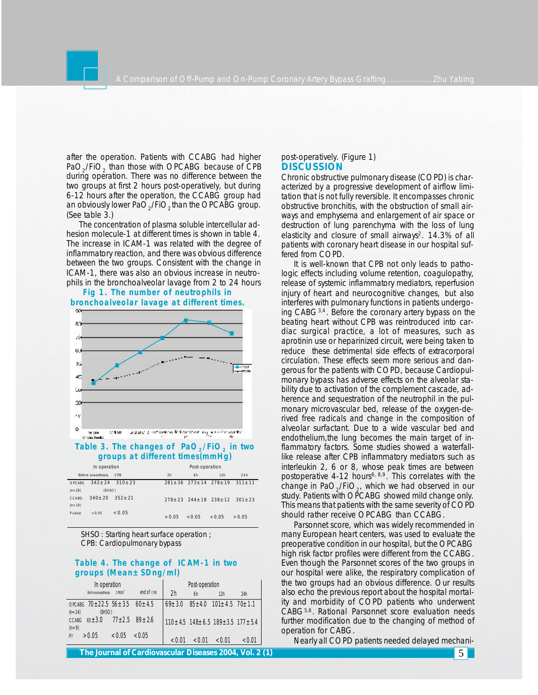

after the operation. Patients with CCABG had higher  $PaO_2$ /FiO<sub>2</sub> than those with OPCABG because of CPB during operation. There was no difference between the two groups at first 2 hours post-operatively, but during 6-12 hours after the operation, the CCABG group had an obviously lower PaO<sub>2</sub>/FiO<sub>2</sub> than the OPCABG group. (See table 3.)

The concentration of plasma soluble intercellular adhesion molecule-1 at different times is shown in table 4. The increase in ICAM-1 was related with the degree of inflammatory reaction, and there was obvious difference between the two groups. Consistent with the change in ICAM-1, there was also an obvious increase in neutrophils in the bronchoalveolar lavage from 2 to 24 hours

## **Fig 1. The number of neutrophils in bronchoalveolar lavage at different times.**



## **Table 3. The changes of PaO<sup>2</sup> /FiO<sup>2</sup> in two groups at different times(mmHg)**

| In operation |                    |                 | Post-operation |        |                                             |        |
|--------------|--------------------|-----------------|----------------|--------|---------------------------------------------|--------|
|              | Before anaesthesia | C <sub>PB</sub> | 2h             | 6h     | 12h                                         | 24h    |
| OPCABG       | $342 + 24$         | $310 + 23$      |                |        | $281 + 36$ $273 + 14$ $278 + 19$ $311 + 11$ |        |
| $(n=28)$     | (SHSO)             |                 |                |        |                                             |        |
| CCABG        | $340 + 20$         | $352 + 21$      |                |        | $278 + 23$ $244 + 18$ $238 + 12$ $301 + 23$ |        |
| $(n = 19)$   |                    |                 |                |        |                                             |        |
| Pvalue       | >0.05              | < 0.05          | > 0.05         | < 0.05 | < 0.05                                      | > 0.05 |

SHSO: Starting heart surface operation ; CPB: Cardiopulmonary bypass

## **Table 4. The change of ICAM-1 in two groups (Mean±SDng/ml)**

| In operation                                                         | Post-operation |                |        |                                                         |        |
|----------------------------------------------------------------------|----------------|----------------|--------|---------------------------------------------------------|--------|
| CPB30'<br><b>Beforeanaesthesia</b>                                   | end of CPB     | 2 <sub>h</sub> | 6h     | 12h                                                     | 24h    |
| OPCABG $70 \pm 22.5$ $56 \pm 3.5$ $60 \pm 4.5$<br>$(n=14)$<br>(SHSO) |                | $69 + 3.0$     |        | $85 \pm 4.0$ 101 $\pm 4.5$ 70 $\pm 1.1$                 |        |
| $77 + 2.5$ $89 + 2.6$<br>$65 + 3.0$<br><b>CCABG</b><br>$(n=9)$       |                |                |        | $110 \pm 4.5$ 148 $\pm$ 6.5 189 $\pm$ 3.5 177 $\pm$ 5.4 |        |
| >0.05<br>< 0.05<br>P                                                 | < 0.05         | < 0.01         | < 0.01 | < 0.01                                                  | < 0.01 |

#### post-operatively. (Figure 1) **DISCUSSION**

Chronic obstructive pulmonary disease (COPD) is characterized by a progressive development of airflow limitation that is not fully reversible. It encompasses chronic obstructive bronchitis, with the obstruction of small airways and emphysema and enlargement of air space or destruction of lung parenchyma with the loss of lung elasticity and closure of small airways<sup>2</sup>. 14.3% of all patients with coronary heart disease in our hospital suffered from COPD.

It is well-known that CPB not only leads to pathologic effects including volume retention, coagulopathy, release of systemic inflammatory mediators, reperfusion injury of heart and neurocognitive changes, but also interferes with pulmonary functions in patients undergoing CABG3,4. Before the coronary artery bypass on the beating heart without CPB was reintroduced into cardiac surgical practice, a lot of measures, such as aprotinin use or heparinized circuit, were being taken to reduce these detrimental side effects of extracorporal circulation. These effects seem more serious and dangerous for the patients with COPD, because Cardiopulmonary bypass has adverse effects on the alveolar stability due to activation of the complement cascade, adherence and sequestration of the neutrophil in the pulmonary microvascular bed, release of the oxygen-derived free radicals and change in the composition of alveolar surfactant. Due to a wide vascular bed and endothelium,the lung becomes the main target of inflammatory factors. Some studies showed a waterfalllike release after CPB inflammatory mediators such as interleukin 2, 6 or 8, whose peak times are between postoperative 4-12 hours<sup>6, 8,9</sup>. This correlates with the change in Pa $\mathrm{O}_2$ /Fi $\mathrm{O}_2$ , which we had observed in our study. Patients with OPCABG showed mild change only. This means that patients with the same severity of COPD should rather receive OPCABG than CCABG.

Parsonnet score, which was widely recommended in many European heart centers, was used to evaluate the preoperative condition in our hospital, but the OPCABG high risk factor profiles were different from the CCABG. Even though the Parsonnet scores of the two groups in our hospital were alike, the respiratory complication of the two groups had an obvious difference. Our results also echo the previous report about the hospital mortality and morbidity of COPD patients who underwent CABG5,6. Rational Parsonnet score evaluation needs further modification due to the changing of method of operation for CABG.

Nearly all COPD patients needed delayed mechani-

**The Journal of Cardiovascular Diseases 2003, Vol. 1 (2) 2004, 2 (1)** 5